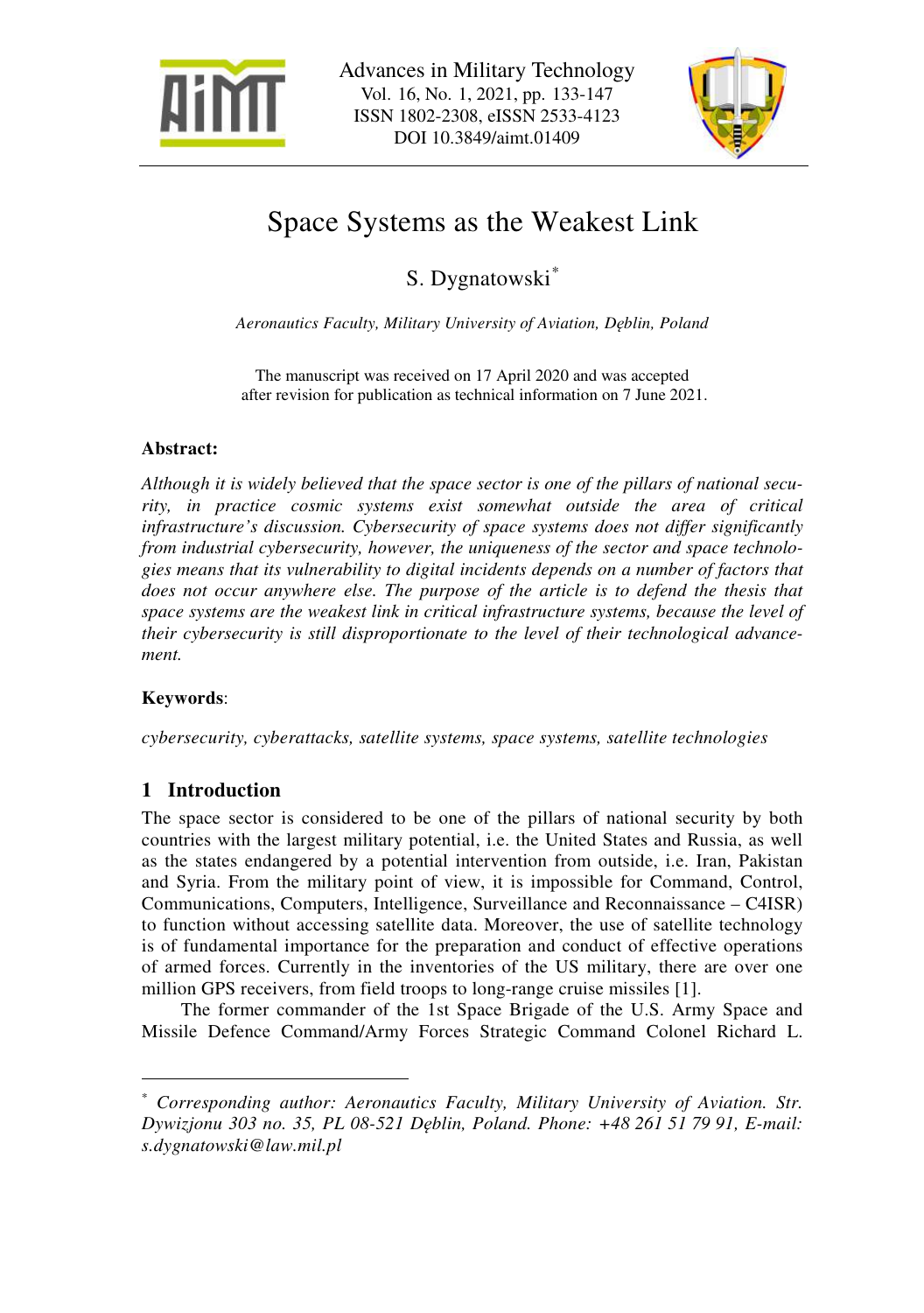



# Space Systems as the Weakest Link

S. Dygnatowski\*

*Aeronautics Faculty, Military University of Aviation, Dęblin, Poland* 

The manuscript was received on 17 April 2020 and was accepted after revision for publication as technical information on 7 June 2021.

# **Abstract:**

*Although it is widely believed that the space sector is one of the pillars of national security, in practice cosmic systems exist somewhat outside the area of critical infrastructure's discussion. Cybersecurity of space systems does not differ significantly from industrial cybersecurity, however, the uniqueness of the sector and space technologies means that its vulnerability to digital incidents depends on a number of factors that*  does not occur anywhere else. The purpose of the article is to defend the thesis that *space systems are the weakest link in critical infrastructure systems, because the level of their cybersecurity is still disproportionate to the level of their technological advancement.* 

# **Keywords**:

 $\overline{a}$ 

*cybersecurity, cyberattacks, satellite systems, space systems, satellite technologies* 

# **1 Introduction**

The space sector is considered to be one of the pillars of national security by both countries with the largest military potential, i.e. the United States and Russia, as well as the states endangered by a potential intervention from outside, i.e. Iran, Pakistan and Syria. From the military point of view, it is impossible for Command, Control, Communications, Computers, Intelligence, Surveillance and Reconnaissance – C4ISR) to function without accessing satellite data. Moreover, the use of satellite technology is of fundamental importance for the preparation and conduct of effective operations of armed forces. Currently in the inventories of the US military, there are over one million GPS receivers, from field troops to long-range cruise missiles [1].

The former commander of the 1st Space Brigade of the U.S. Army Space and Missile Defence Command/Army Forces Strategic Command Colonel Richard L.

<sup>\*</sup> *Corresponding author: Aeronautics Faculty, Military University of Aviation. Str. Dywizjonu 303 no. 35, PL 08-521 Dęblin, Poland. Phone: +48 261 51 79 91, E-mail: s.dygnatowski@law.mil.pl*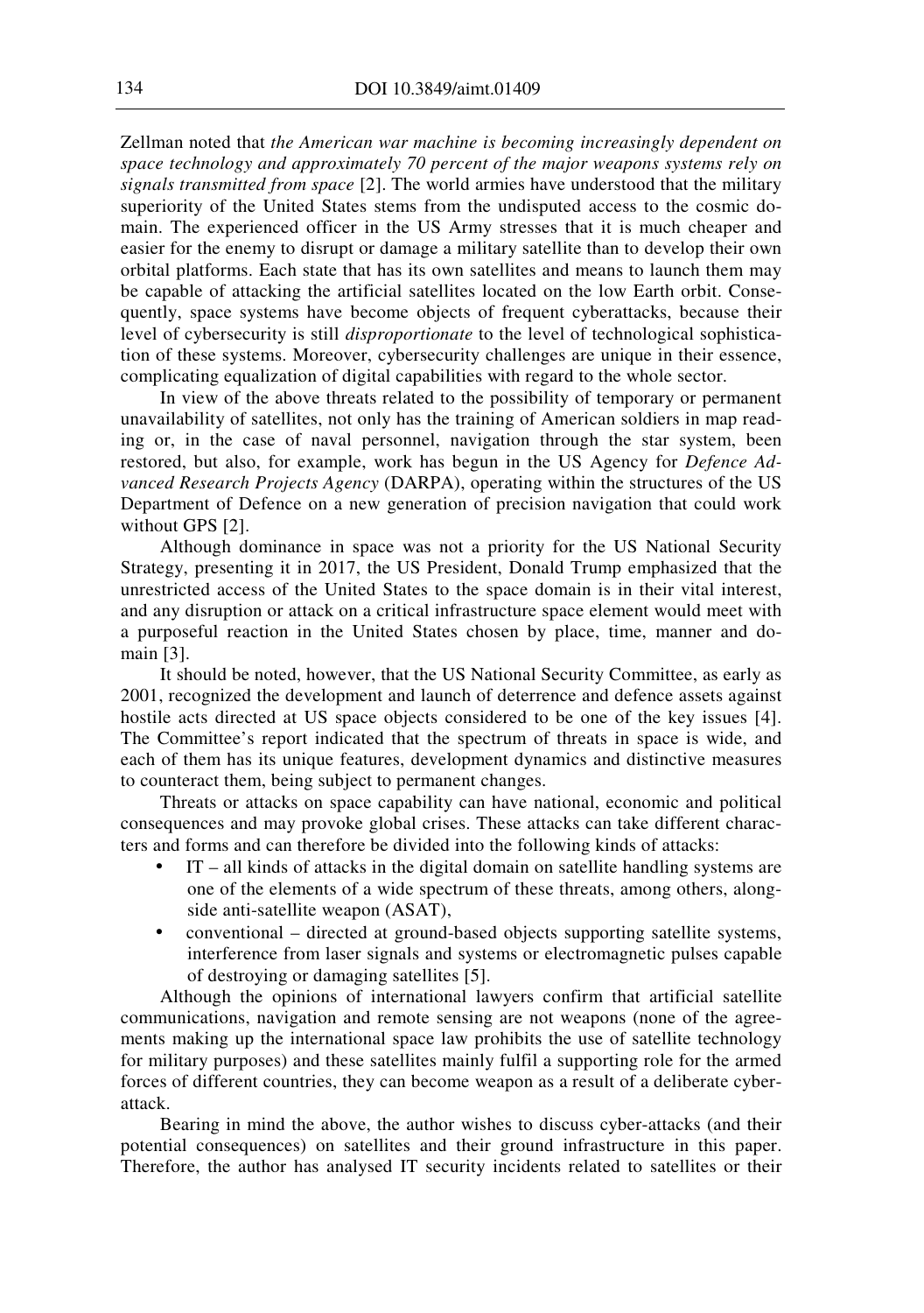Zellman noted that *the American war machine is becoming increasingly dependent on space technology and approximately 70 percent of the major weapons systems rely on signals transmitted from space* [2]. The world armies have understood that the military superiority of the United States stems from the undisputed access to the cosmic domain. The experienced officer in the US Army stresses that it is much cheaper and easier for the enemy to disrupt or damage a military satellite than to develop their own orbital platforms. Each state that has its own satellites and means to launch them may be capable of attacking the artificial satellites located on the low Earth orbit. Consequently, space systems have become objects of frequent cyberattacks, because their level of cybersecurity is still *disproportionate* to the level of technological sophistication of these systems. Moreover, cybersecurity challenges are unique in their essence, complicating equalization of digital capabilities with regard to the whole sector.

In view of the above threats related to the possibility of temporary or permanent unavailability of satellites, not only has the training of American soldiers in map reading or, in the case of naval personnel, navigation through the star system, been restored, but also, for example, work has begun in the US Agency for *Defence Advanced Research Projects Agency* (DARPA), operating within the structures of the US Department of Defence on a new generation of precision navigation that could work without GPS [2].

Although dominance in space was not a priority for the US National Security Strategy, presenting it in 2017, the US President, Donald Trump emphasized that the unrestricted access of the United States to the space domain is in their vital interest, and any disruption or attack on a critical infrastructure space element would meet with a purposeful reaction in the United States chosen by place, time, manner and domain [3].

It should be noted, however, that the US National Security Committee, as early as 2001, recognized the development and launch of deterrence and defence assets against hostile acts directed at US space objects considered to be one of the key issues [4]. The Committee's report indicated that the spectrum of threats in space is wide, and each of them has its unique features, development dynamics and distinctive measures to counteract them, being subject to permanent changes.

Threats or attacks on space capability can have national, economic and political consequences and may provoke global crises. These attacks can take different characters and forms and can therefore be divided into the following kinds of attacks:

- IT all kinds of attacks in the digital domain on satellite handling systems are one of the elements of a wide spectrum of these threats, among others, alongside anti-satellite weapon (ASAT),
- conventional directed at ground-based objects supporting satellite systems, interference from laser signals and systems or electromagnetic pulses capable of destroying or damaging satellites [5].

Although the opinions of international lawyers confirm that artificial satellite communications, navigation and remote sensing are not weapons (none of the agreements making up the international space law prohibits the use of satellite technology for military purposes) and these satellites mainly fulfil a supporting role for the armed forces of different countries, they can become weapon as a result of a deliberate cyberattack.

Bearing in mind the above, the author wishes to discuss cyber-attacks (and their potential consequences) on satellites and their ground infrastructure in this paper. Therefore, the author has analysed IT security incidents related to satellites or their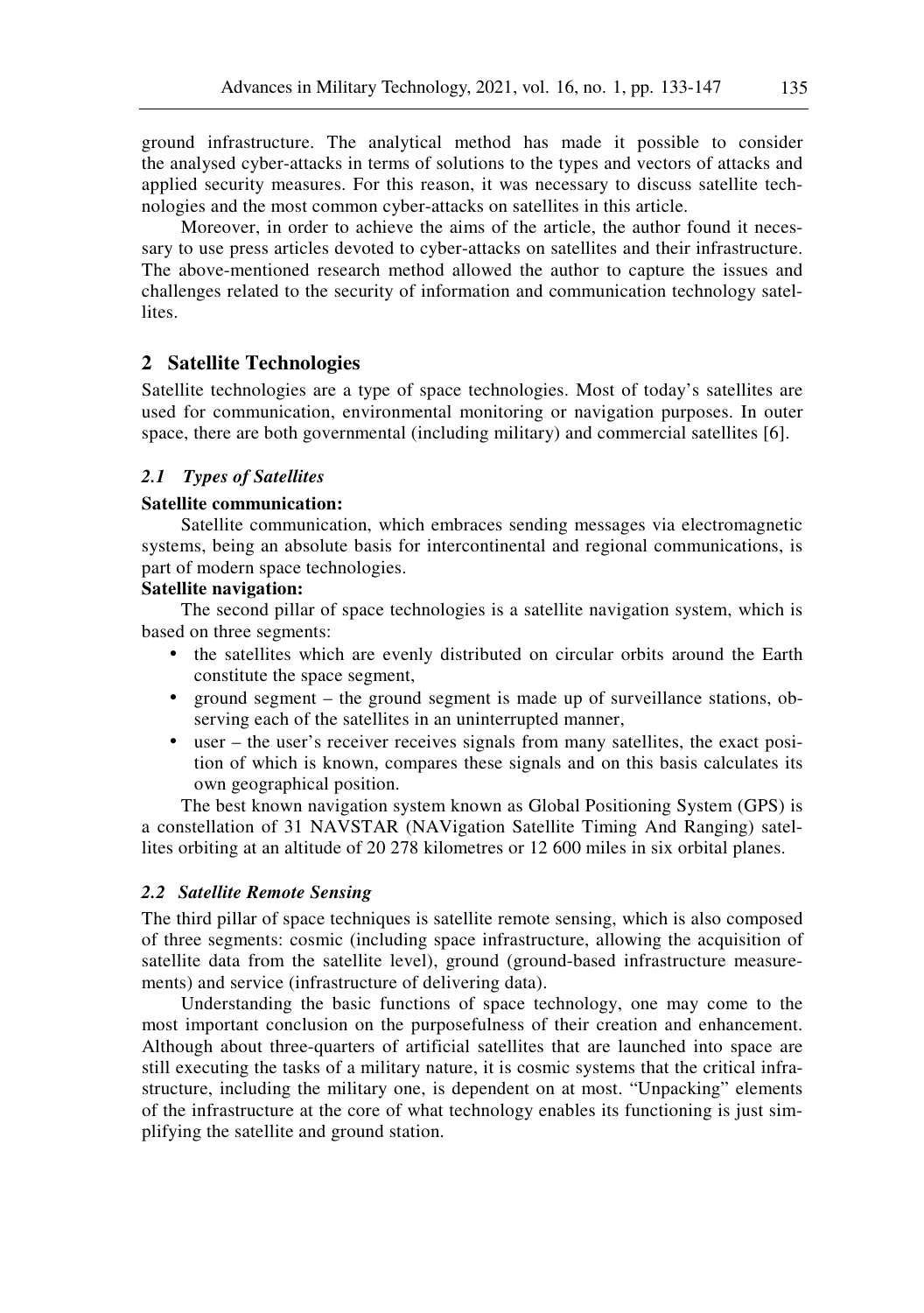ground infrastructure. The analytical method has made it possible to consider the analysed cyber-attacks in terms of solutions to the types and vectors of attacks and applied security measures. For this reason, it was necessary to discuss satellite technologies and the most common cyber-attacks on satellites in this article.

Moreover, in order to achieve the aims of the article, the author found it necessary to use press articles devoted to cyber-attacks on satellites and their infrastructure. The above-mentioned research method allowed the author to capture the issues and challenges related to the security of information and communication technology satellites.

## **2 Satellite Technologies**

Satellite technologies are a type of space technologies. Most of today's satellites are used for communication, environmental monitoring or navigation purposes. In outer space, there are both governmental (including military) and commercial satellites [6].

### *2.1 Types of Satellites*

#### **Satellite communication:**

Satellite communication, which embraces sending messages via electromagnetic systems, being an absolute basis for intercontinental and regional communications, is part of modern space technologies.

# **Satellite navigation:**

The second pillar of space technologies is a satellite navigation system, which is based on three segments:

- the satellites which are evenly distributed on circular orbits around the Earth constitute the space segment,
- ground segment the ground segment is made up of surveillance stations, observing each of the satellites in an uninterrupted manner,
- user the user's receiver receives signals from many satellites, the exact position of which is known, compares these signals and on this basis calculates its own geographical position.

The best known navigation system known as Global Positioning System (GPS) is a constellation of 31 NAVSTAR (NAVigation Satellite Timing And Ranging) satellites orbiting at an altitude of 20 278 kilometres or 12 600 miles in six orbital planes.

### *2.2 Satellite Remote Sensing*

The third pillar of space techniques is satellite remote sensing, which is also composed of three segments: cosmic (including space infrastructure, allowing the acquisition of satellite data from the satellite level), ground (ground-based infrastructure measurements) and service (infrastructure of delivering data).

Understanding the basic functions of space technology, one may come to the most important conclusion on the purposefulness of their creation and enhancement. Although about three-quarters of artificial satellites that are launched into space are still executing the tasks of a military nature, it is cosmic systems that the critical infrastructure, including the military one, is dependent on at most. "Unpacking" elements of the infrastructure at the core of what technology enables its functioning is just simplifying the satellite and ground station.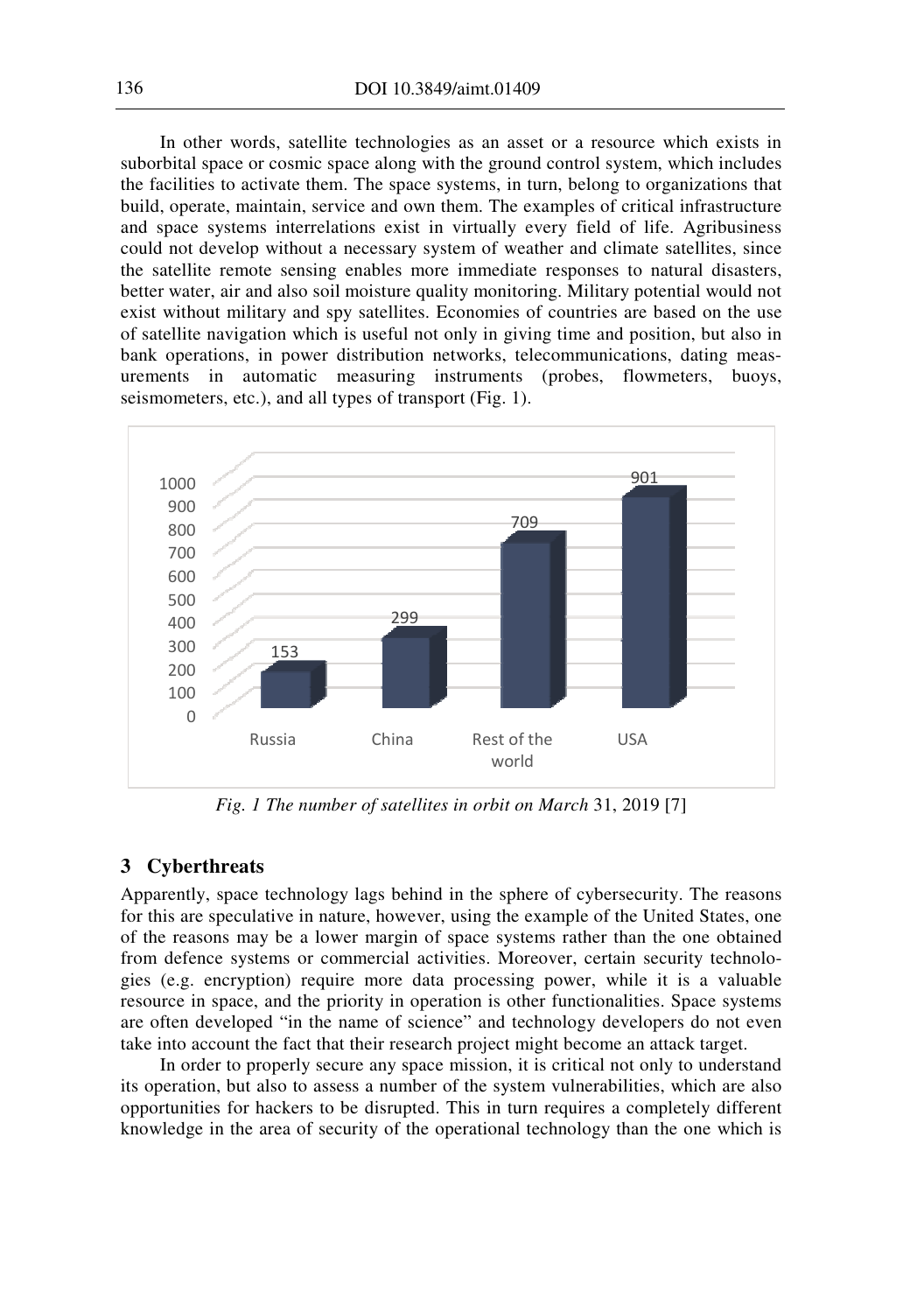In other words, satellite technologies as an asset or a resource which exists in suborbital space or cosmic space along with the ground control system, which includes the facilities to activate them. The space systems, in turn, belong to organizations that build, operate, maintain, service and own them. The examples of critical infrastructure and space systems interrelations exist in virtually every field of life. Agribusiness could not develop without a necessary system of weather and climate satellites, since the satellite remote sensing enables more immediate responses to natural disasters, better water, air and also soil moisture quality monitoring. Military potential would not exist without military and spy satellites. Economies of countries are based on the use of satellite navigation which is useful not only in giving time and position, but also in bank operations, in power distribution networks, telecommunications, dating measurements in automatic measuring instruments (probes, flowmeters, buoys, seismometers, etc.), and all types of transport (Fig. 1).



*Fig. 1 The number of satellites in orbit on March* 31, 2019 [7]

## **3 Cyberthreats**

Apparently, space technology lags behind in the sphere of cybersecurity. The reasons for this are speculative in nature, however, using the example of the United States, one of the reasons may be a lower margin of space systems rather than the one obtained from defence systems or commercial activities. Moreover, certain security technologies (e.g. encryption) require more data processing power, while it is a valuable resource in space, and the priority in operation is other functionalities. Space systems are often developed "in the name of science" and technology developers do not even take into account the fact that their research project might become an attack target.

In order to properly secure any space mission, it is critical not only to understand its operation, but also to assess a number of the system vulnerabilities, which are also opportunities for hackers to be disrupted. This in turn requires a completely different knowledge in the area of security of the operational technology than the one which is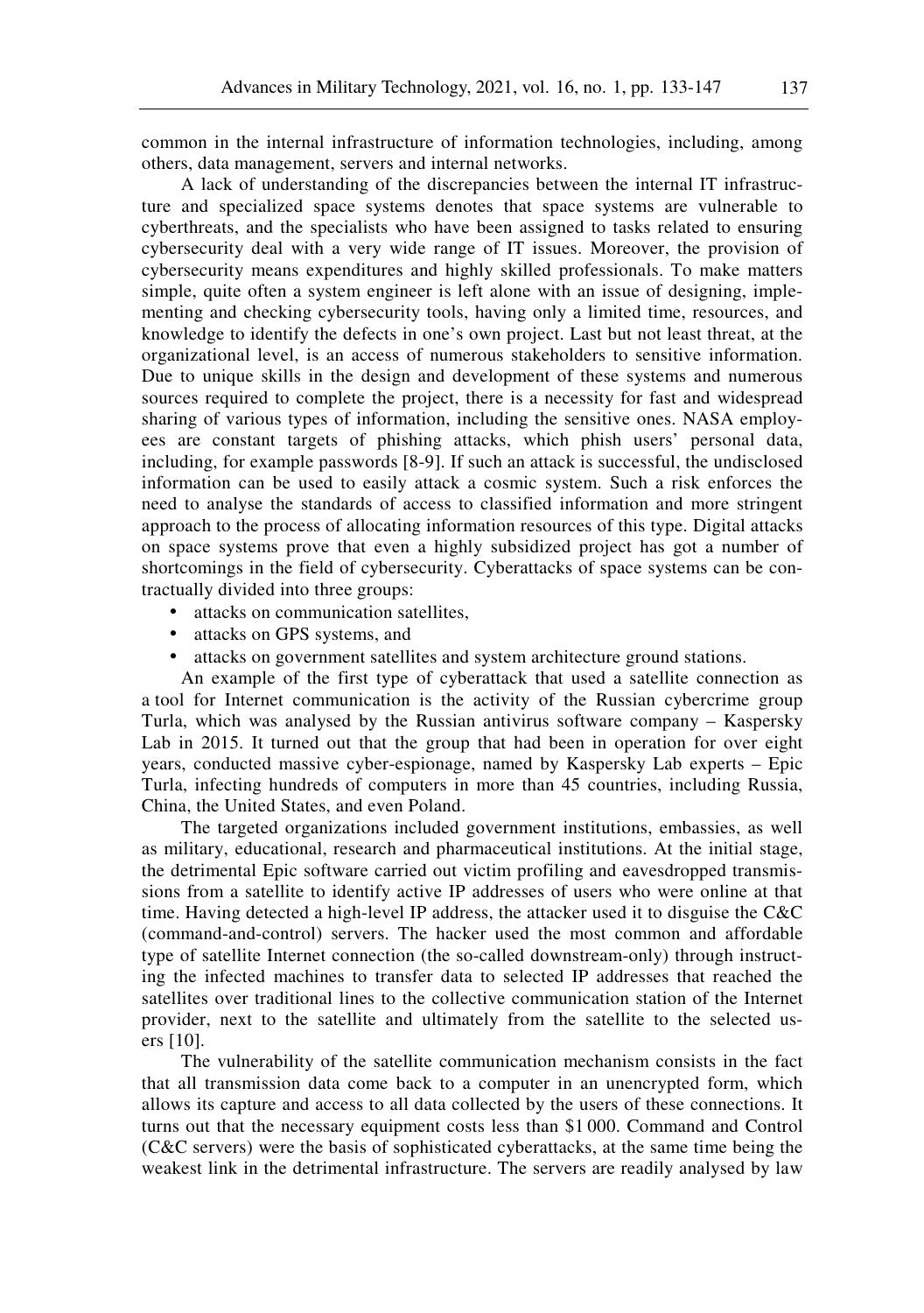common in the internal infrastructure of information technologies, including, among others, data management, servers and internal networks.

A lack of understanding of the discrepancies between the internal IT infrastructure and specialized space systems denotes that space systems are vulnerable to cyberthreats, and the specialists who have been assigned to tasks related to ensuring cybersecurity deal with a very wide range of IT issues. Moreover, the provision of cybersecurity means expenditures and highly skilled professionals. To make matters simple, quite often a system engineer is left alone with an issue of designing, implementing and checking cybersecurity tools, having only a limited time, resources, and knowledge to identify the defects in one's own project. Last but not least threat, at the organizational level, is an access of numerous stakeholders to sensitive information. Due to unique skills in the design and development of these systems and numerous sources required to complete the project, there is a necessity for fast and widespread sharing of various types of information, including the sensitive ones. NASA employees are constant targets of phishing attacks, which phish users' personal data, including, for example passwords [8-9]. If such an attack is successful, the undisclosed information can be used to easily attack a cosmic system. Such a risk enforces the need to analyse the standards of access to classified information and more stringent approach to the process of allocating information resources of this type. Digital attacks on space systems prove that even a highly subsidized project has got a number of shortcomings in the field of cybersecurity. Cyberattacks of space systems can be contractually divided into three groups:

- attacks on communication satellites,
- attacks on GPS systems, and
- attacks on government satellites and system architecture ground stations.

An example of the first type of cyberattack that used a satellite connection as a tool for Internet communication is the activity of the Russian cybercrime group Turla, which was analysed by the Russian antivirus software company – Kaspersky Lab in 2015. It turned out that the group that had been in operation for over eight years, conducted massive cyber-espionage, named by Kaspersky Lab experts – Epic Turla, infecting hundreds of computers in more than 45 countries, including Russia, China, the United States, and even Poland.

The targeted organizations included government institutions, embassies, as well as military, educational, research and pharmaceutical institutions. At the initial stage, the detrimental Epic software carried out victim profiling and eavesdropped transmissions from a satellite to identify active IP addresses of users who were online at that time. Having detected a high-level IP address, the attacker used it to disguise the C&C (command-and-control) servers. The hacker used the most common and affordable type of satellite Internet connection (the so-called downstream-only) through instructing the infected machines to transfer data to selected IP addresses that reached the satellites over traditional lines to the collective communication station of the Internet provider, next to the satellite and ultimately from the satellite to the selected users [10].

The vulnerability of the satellite communication mechanism consists in the fact that all transmission data come back to a computer in an unencrypted form, which allows its capture and access to all data collected by the users of these connections. It turns out that the necessary equipment costs less than \$1 000. Command and Control (C&C servers) were the basis of sophisticated cyberattacks, at the same time being the weakest link in the detrimental infrastructure. The servers are readily analysed by law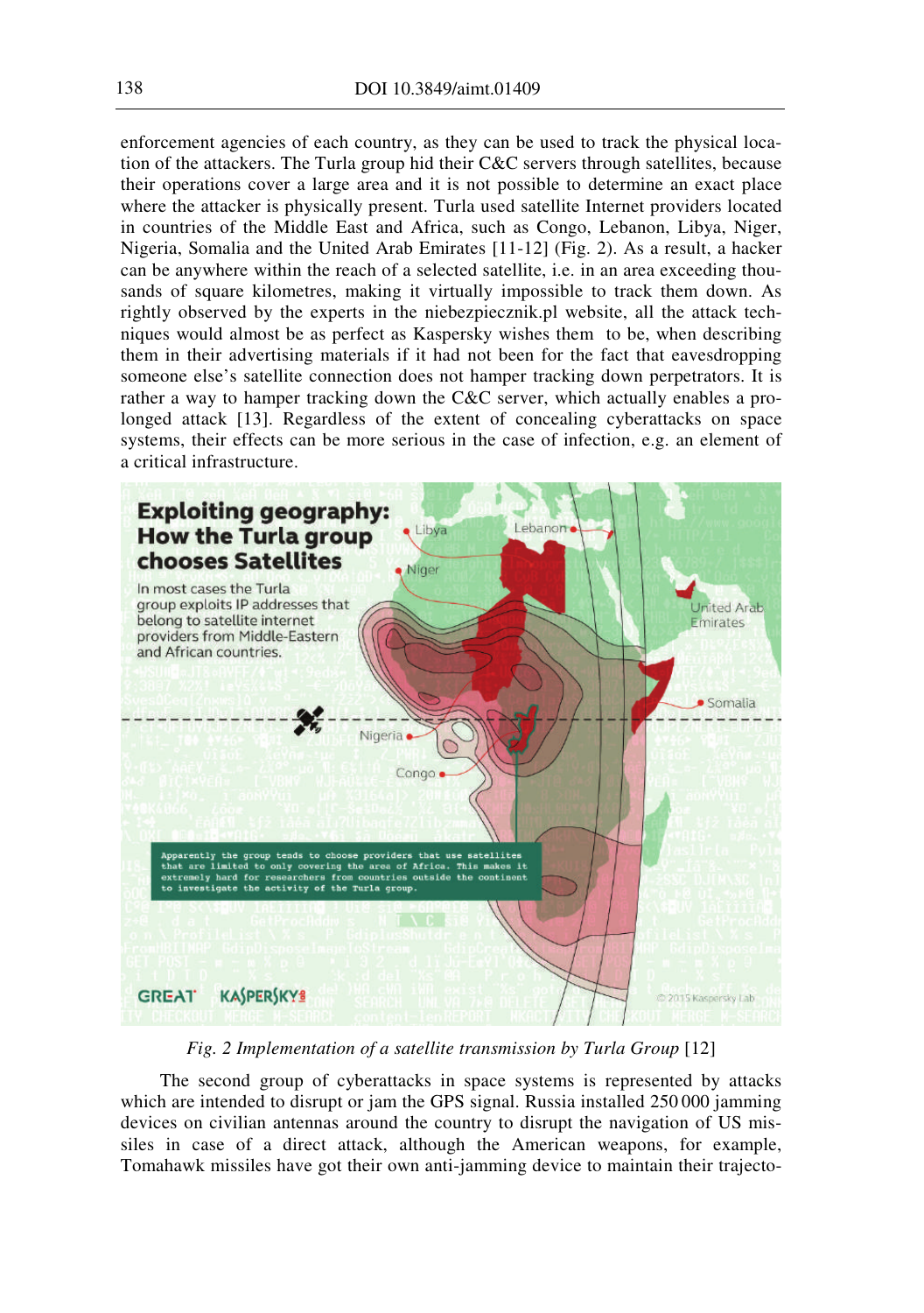enforcement agencies of each country, as they can be used to track the physical location of the attackers. The Turla group hid their C&C servers through satellites, because their operations cover a large area and it is not possible to determine an exact place where the attacker is physically present. Turla used satellite Internet providers located in countries of the Middle East and Africa, such as Congo, Lebanon, Libya, Niger, Nigeria, Somalia and the United Arab Emirates [11-12] (Fig. 2). As a result, a hacker can be anywhere within the reach of a selected satellite, i.e. in an area exceeding thousands of square kilometres, making it virtually impossible to track them down. As rightly observed by the experts in the niebezpiecznik.pl website, all the attack techniques would almost be as perfect as Kaspersky wishes them to be, when describing them in their advertising materials if it had not been for the fact that eavesdropping someone else's satellite connection does not hamper tracking down perpetrators. It is rather a way to hamper tracking down the C&C server, which actually enables a prolonged attack [13]. Regardless of the extent of concealing cyberattacks on space systems, their effects can be more serious in the case of infection, e.g. an element of a critical infrastructure.



*Fig. 2 Implementation of a satellite transmission by Turla Group* [12]

The second group of cyberattacks in space systems is represented by attacks which are intended to disrupt or jam the GPS signal. Russia installed 250 000 jamming devices on civilian antennas around the country to disrupt the navigation of US missiles in case of a direct attack, although the American weapons, for example, Tomahawk missiles have got their own anti-jamming device to maintain their trajecto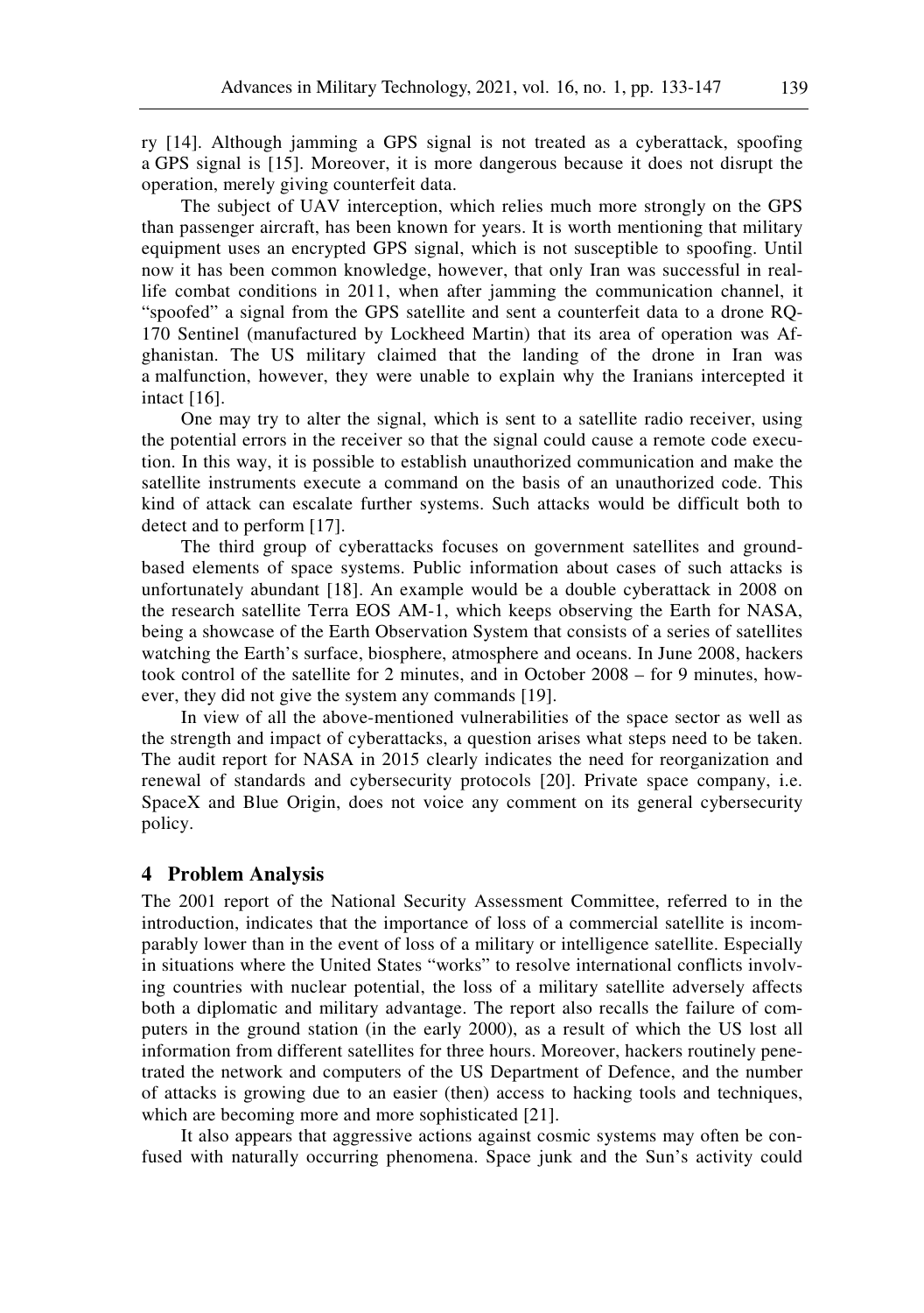ry [14]. Although jamming a GPS signal is not treated as a cyberattack, spoofing a GPS signal is [15]. Moreover, it is more dangerous because it does not disrupt the operation, merely giving counterfeit data.

The subject of UAV interception, which relies much more strongly on the GPS than passenger aircraft, has been known for years. It is worth mentioning that military equipment uses an encrypted GPS signal, which is not susceptible to spoofing. Until now it has been common knowledge, however, that only Iran was successful in reallife combat conditions in 2011, when after jamming the communication channel, it "spoofed" a signal from the GPS satellite and sent a counterfeit data to a drone RQ-170 Sentinel (manufactured by Lockheed Martin) that its area of operation was Afghanistan. The US military claimed that the landing of the drone in Iran was a malfunction, however, they were unable to explain why the Iranians intercepted it intact [16].

One may try to alter the signal, which is sent to a satellite radio receiver, using the potential errors in the receiver so that the signal could cause a remote code execution. In this way, it is possible to establish unauthorized communication and make the satellite instruments execute a command on the basis of an unauthorized code. This kind of attack can escalate further systems. Such attacks would be difficult both to detect and to perform [17].

The third group of cyberattacks focuses on government satellites and groundbased elements of space systems. Public information about cases of such attacks is unfortunately abundant [18]. An example would be a double cyberattack in 2008 on the research satellite Terra EOS AM-1, which keeps observing the Earth for NASA, being a showcase of the Earth Observation System that consists of a series of satellites watching the Earth's surface, biosphere, atmosphere and oceans. In June 2008, hackers took control of the satellite for 2 minutes, and in October 2008 – for 9 minutes, however, they did not give the system any commands [19].

In view of all the above-mentioned vulnerabilities of the space sector as well as the strength and impact of cyberattacks, a question arises what steps need to be taken. The audit report for NASA in 2015 clearly indicates the need for reorganization and renewal of standards and cybersecurity protocols [20]. Private space company, i.e. SpaceX and Blue Origin, does not voice any comment on its general cybersecurity policy.

#### **4 Problem Analysis**

The 2001 report of the National Security Assessment Committee, referred to in the introduction, indicates that the importance of loss of a commercial satellite is incomparably lower than in the event of loss of a military or intelligence satellite. Especially in situations where the United States "works" to resolve international conflicts involving countries with nuclear potential, the loss of a military satellite adversely affects both a diplomatic and military advantage. The report also recalls the failure of computers in the ground station (in the early 2000), as a result of which the US lost all information from different satellites for three hours. Moreover, hackers routinely penetrated the network and computers of the US Department of Defence, and the number of attacks is growing due to an easier (then) access to hacking tools and techniques, which are becoming more and more sophisticated [21].

It also appears that aggressive actions against cosmic systems may often be confused with naturally occurring phenomena. Space junk and the Sun's activity could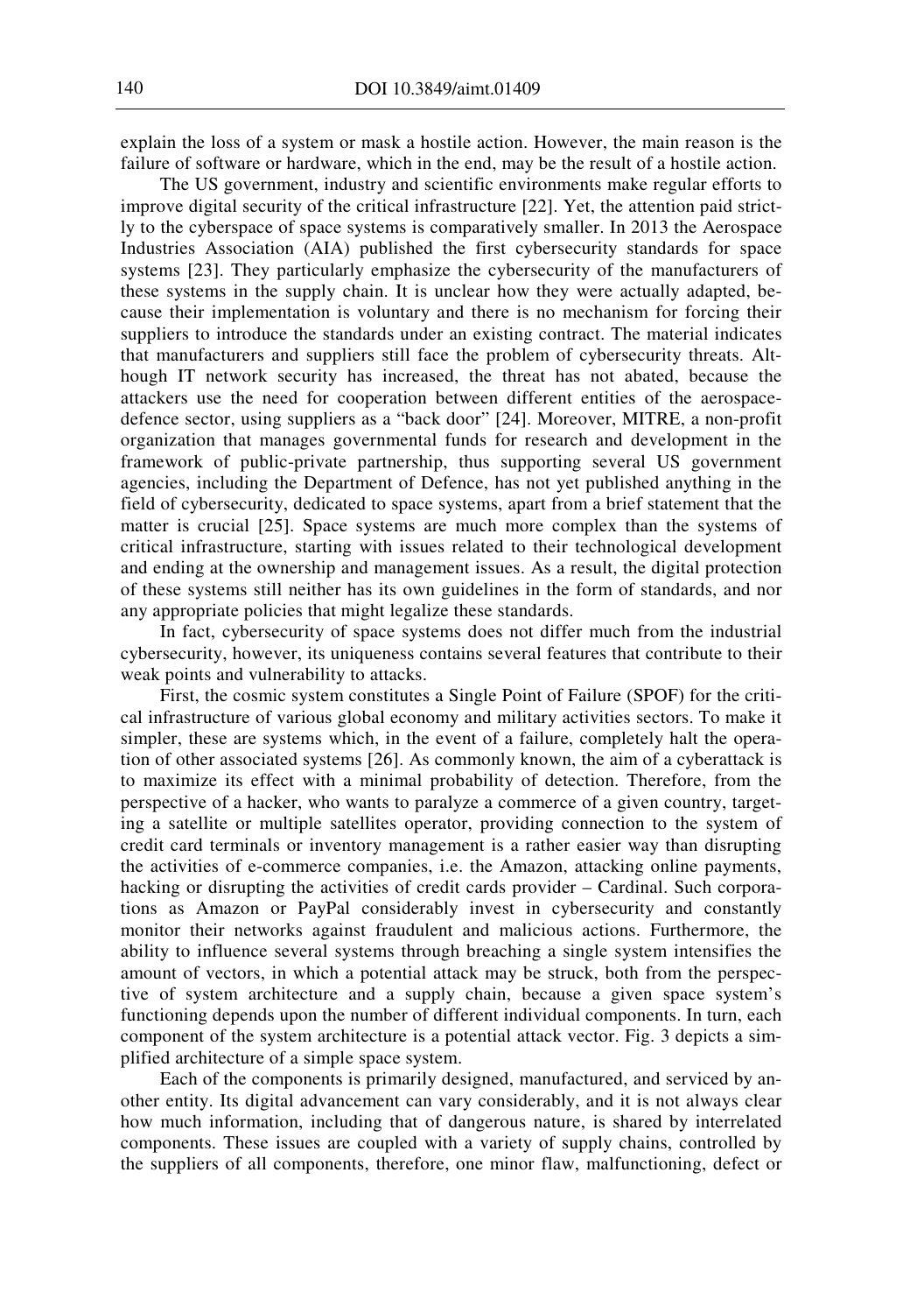explain the loss of a system or mask a hostile action. However, the main reason is the failure of software or hardware, which in the end, may be the result of a hostile action.

The US government, industry and scientific environments make regular efforts to improve digital security of the critical infrastructure [22]. Yet, the attention paid strictly to the cyberspace of space systems is comparatively smaller. In 2013 the Aerospace Industries Association (AIA) published the first cybersecurity standards for space systems [23]. They particularly emphasize the cybersecurity of the manufacturers of these systems in the supply chain. It is unclear how they were actually adapted, because their implementation is voluntary and there is no mechanism for forcing their suppliers to introduce the standards under an existing contract. The material indicates that manufacturers and suppliers still face the problem of cybersecurity threats. Although IT network security has increased, the threat has not abated, because the attackers use the need for cooperation between different entities of the aerospacedefence sector, using suppliers as a "back door" [24]. Moreover, MITRE, a non-profit organization that manages governmental funds for research and development in the framework of public-private partnership, thus supporting several US government agencies, including the Department of Defence, has not yet published anything in the field of cybersecurity, dedicated to space systems, apart from a brief statement that the matter is crucial [25]. Space systems are much more complex than the systems of critical infrastructure, starting with issues related to their technological development and ending at the ownership and management issues. As a result, the digital protection of these systems still neither has its own guidelines in the form of standards, and nor any appropriate policies that might legalize these standards.

In fact, cybersecurity of space systems does not differ much from the industrial cybersecurity, however, its uniqueness contains several features that contribute to their weak points and vulnerability to attacks.

First, the cosmic system constitutes a Single Point of Failure (SPOF) for the critical infrastructure of various global economy and military activities sectors. To make it simpler, these are systems which, in the event of a failure, completely halt the operation of other associated systems [26]. As commonly known, the aim of a cyberattack is to maximize its effect with a minimal probability of detection. Therefore, from the perspective of a hacker, who wants to paralyze a commerce of a given country, targeting a satellite or multiple satellites operator, providing connection to the system of credit card terminals or inventory management is a rather easier way than disrupting the activities of e-commerce companies, i.e. the Amazon, attacking online payments, hacking or disrupting the activities of credit cards provider – Cardinal. Such corporations as Amazon or PayPal considerably invest in cybersecurity and constantly monitor their networks against fraudulent and malicious actions. Furthermore, the ability to influence several systems through breaching a single system intensifies the amount of vectors, in which a potential attack may be struck, both from the perspective of system architecture and a supply chain, because a given space system's functioning depends upon the number of different individual components. In turn, each component of the system architecture is a potential attack vector. Fig. 3 depicts a simplified architecture of a simple space system.

Each of the components is primarily designed, manufactured, and serviced by another entity. Its digital advancement can vary considerably, and it is not always clear how much information, including that of dangerous nature, is shared by interrelated components. These issues are coupled with a variety of supply chains, controlled by the suppliers of all components, therefore, one minor flaw, malfunctioning, defect or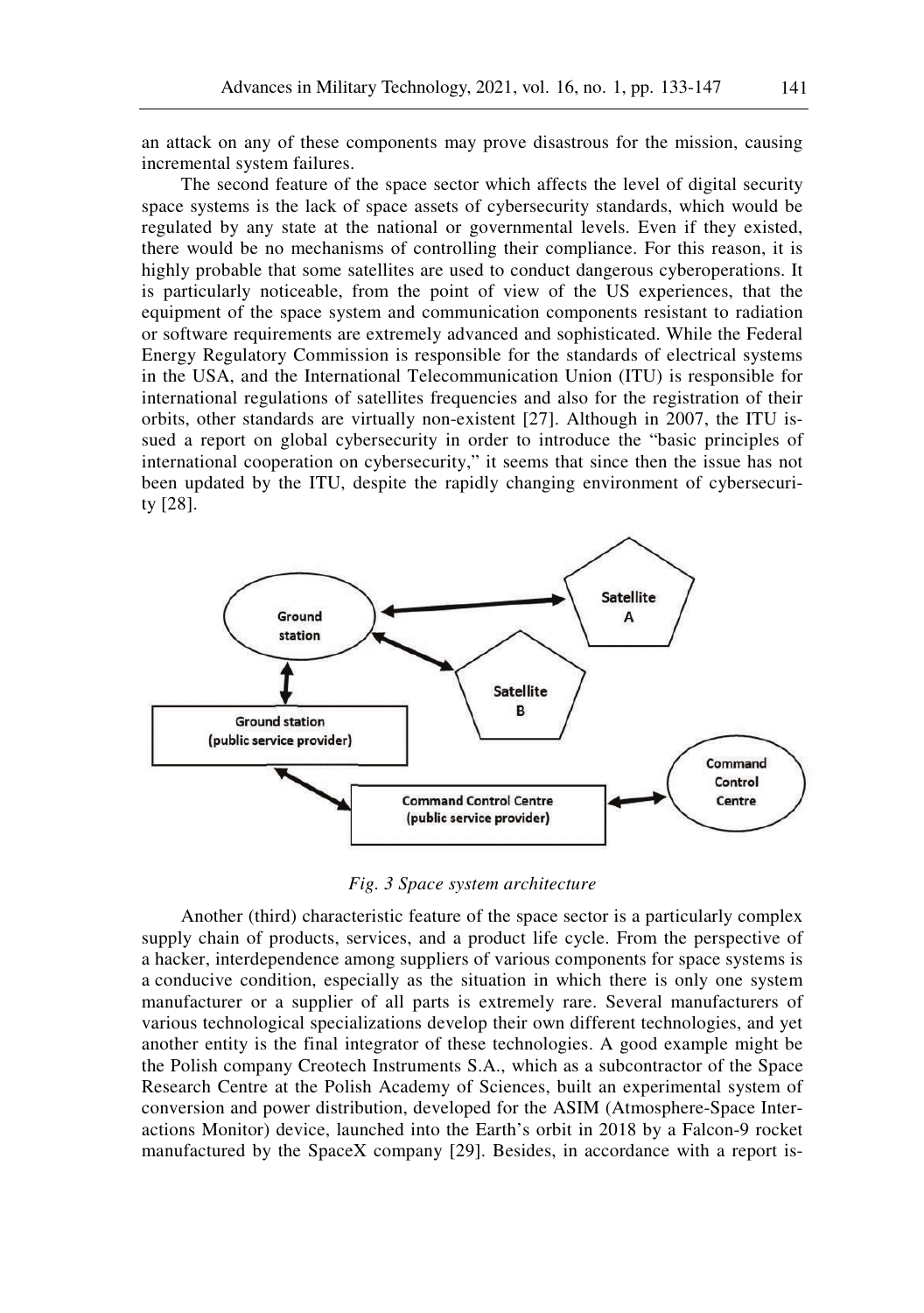an attack on any of these components may prove disastrous for the mission, causing incremental system failures.

The second feature of the space sector which affects the level of digital security space systems is the lack of space assets of cybersecurity standards, which would be regulated by any state at the national or governmental levels. Even if they existed, there would be no mechanisms of controlling their compliance. For this reason, it is highly probable that some satellites are used to conduct dangerous cyberoperations. It is particularly noticeable, from the point of view of the US experiences, that the equipment of the space system and communication components resistant to radiation or software requirements are extremely advanced and sophisticated. While the Federal Energy Regulatory Commission is responsible for the standards of electrical systems in the USA, and the International Telecommunication Union (ITU) is responsible for international regulations of satellites frequencies and also for the registration of their orbits, other standards are virtually non-existent [27]. Although in 2007, the ITU issued a report on global cybersecurity in order to introduce the "basic principles of international cooperation on cybersecurity," it seems that since then the issue has not been updated by the ITU, despite the rapidly changing environment of cybersecurity [28].



*Fig. 3 Space system architecture* 

Another (third) characteristic feature of the space sector is a particularly complex supply chain of products, services, and a product life cycle. From the perspective of a hacker, interdependence among suppliers of various components for space systems is a conducive condition, especially as the situation in which there is only one system manufacturer or a supplier of all parts is extremely rare. Several manufacturers of various technological specializations develop their own different technologies, and yet another entity is the final integrator of these technologies. A good example might be the Polish company Creotech Instruments S.A., which as a subcontractor of the Space Research Centre at the Polish Academy of Sciences, built an experimental system of conversion and power distribution, developed for the ASIM (Atmosphere-Space Interactions Monitor) device, launched into the Earth's orbit in 2018 by a Falcon-9 rocket manufactured by the SpaceX company [29]. Besides, in accordance with a report is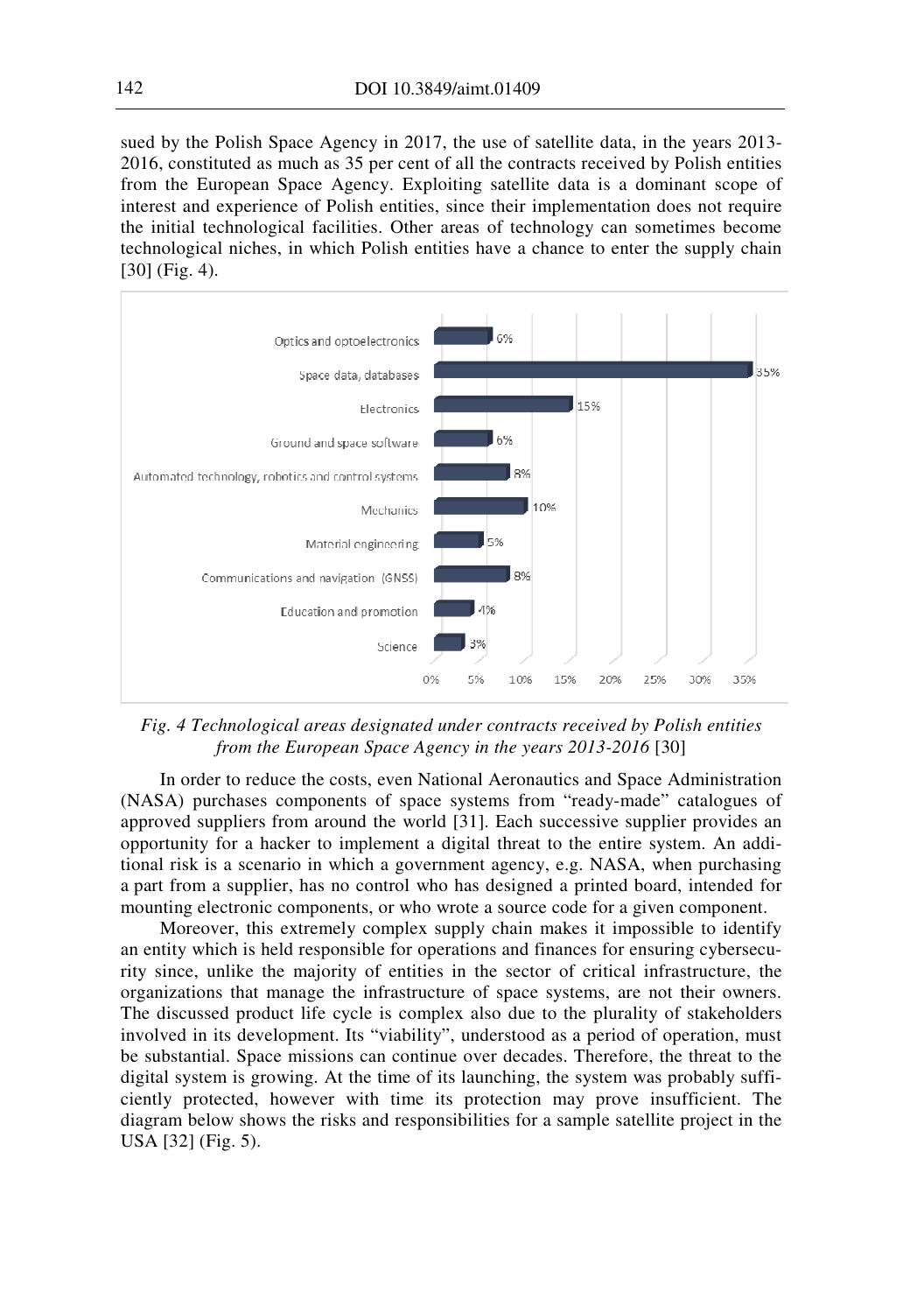sued by the Polish Space Agency in 2017, the use of satellite data, in the years 2013- 2016, constituted as much as 35 per cent of all the contracts received by Polish entities from the European Space Agency. Exploiting satellite data is a dominant scope of interest and experience of Polish entities, since their implementation does not require the initial technological facilities. Other areas of technology can sometimes become technological niches, in which Polish entities have a chance to enter the supply chain [30] (Fig. 4).



*Fig. 4 Technological areas designated under contracts received by Polish entities from the European Space Agency in the years 2013-2016* [30]

In order to reduce the costs, even National Aeronautics and Space Administration (NASA) purchases components of space systems from "ready-made" catalogues of approved suppliers from around the world [31]. Each successive supplier provides an opportunity for a hacker to implement a digital threat to the entire system. An additional risk is a scenario in which a government agency, e.g. NASA, when purchasing a part from a supplier, has no control who has designed a printed board, intended for mounting electronic components, or who wrote a source code for a given component.

Moreover, this extremely complex supply chain makes it impossible to identify an entity which is held responsible for operations and finances for ensuring cybersecurity since, unlike the majority of entities in the sector of critical infrastructure, the organizations that manage the infrastructure of space systems, are not their owners. The discussed product life cycle is complex also due to the plurality of stakeholders involved in its development. Its "viability", understood as a period of operation, must be substantial. Space missions can continue over decades. Therefore, the threat to the digital system is growing. At the time of its launching, the system was probably sufficiently protected, however with time its protection may prove insufficient. The diagram below shows the risks and responsibilities for a sample satellite project in the USA [32] (Fig. 5).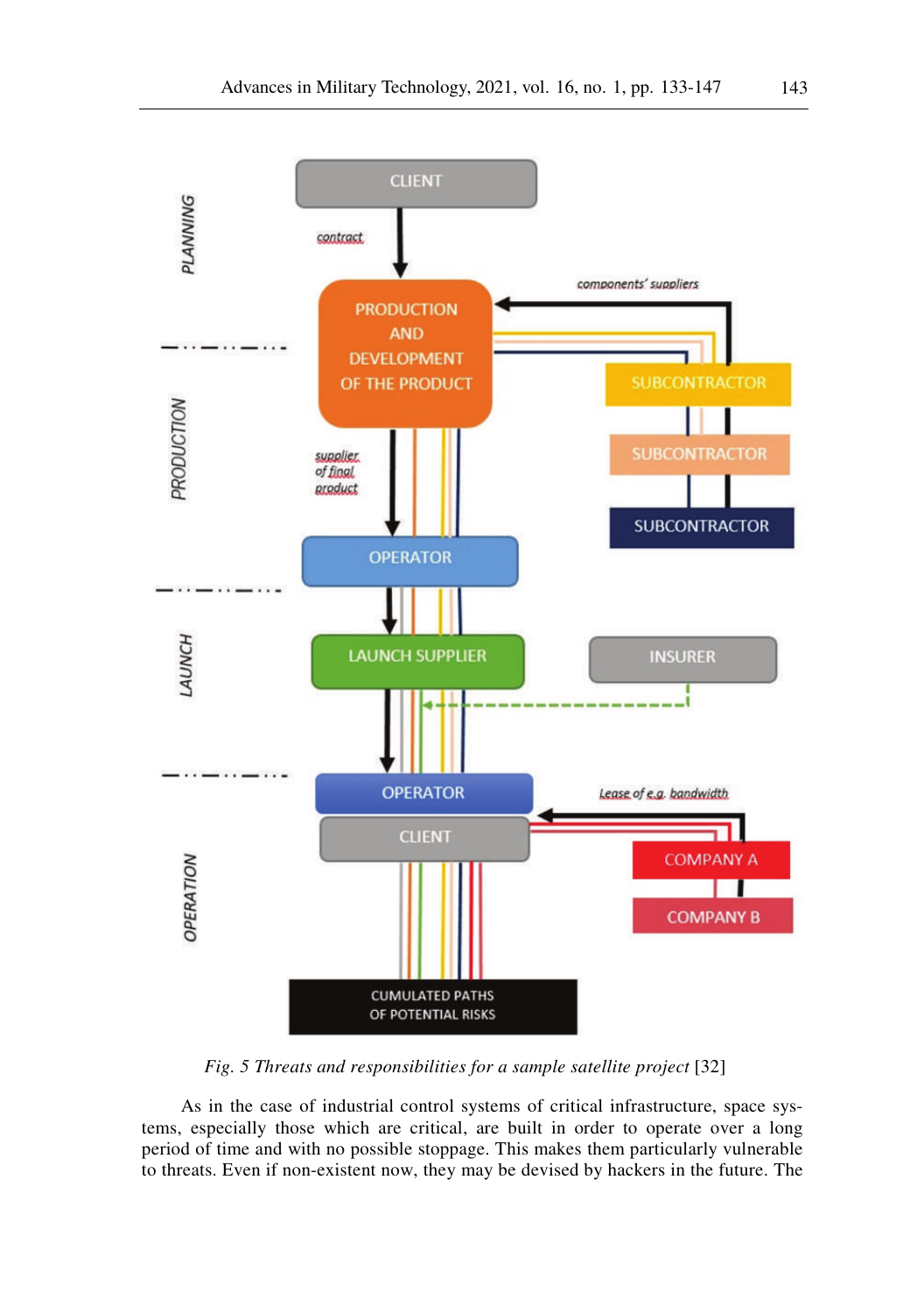

*Fig. 5 Threats and responsibilities for a sample satellite project* [32]

As in the case of industrial control systems of critical infrastructure, space systems, especially those which are critical, are built in order to operate over a long period of time and with no possible stoppage. This makes them particularly vulnerable to threats. Even if non-existent now, they may be devised by hackers in the future. The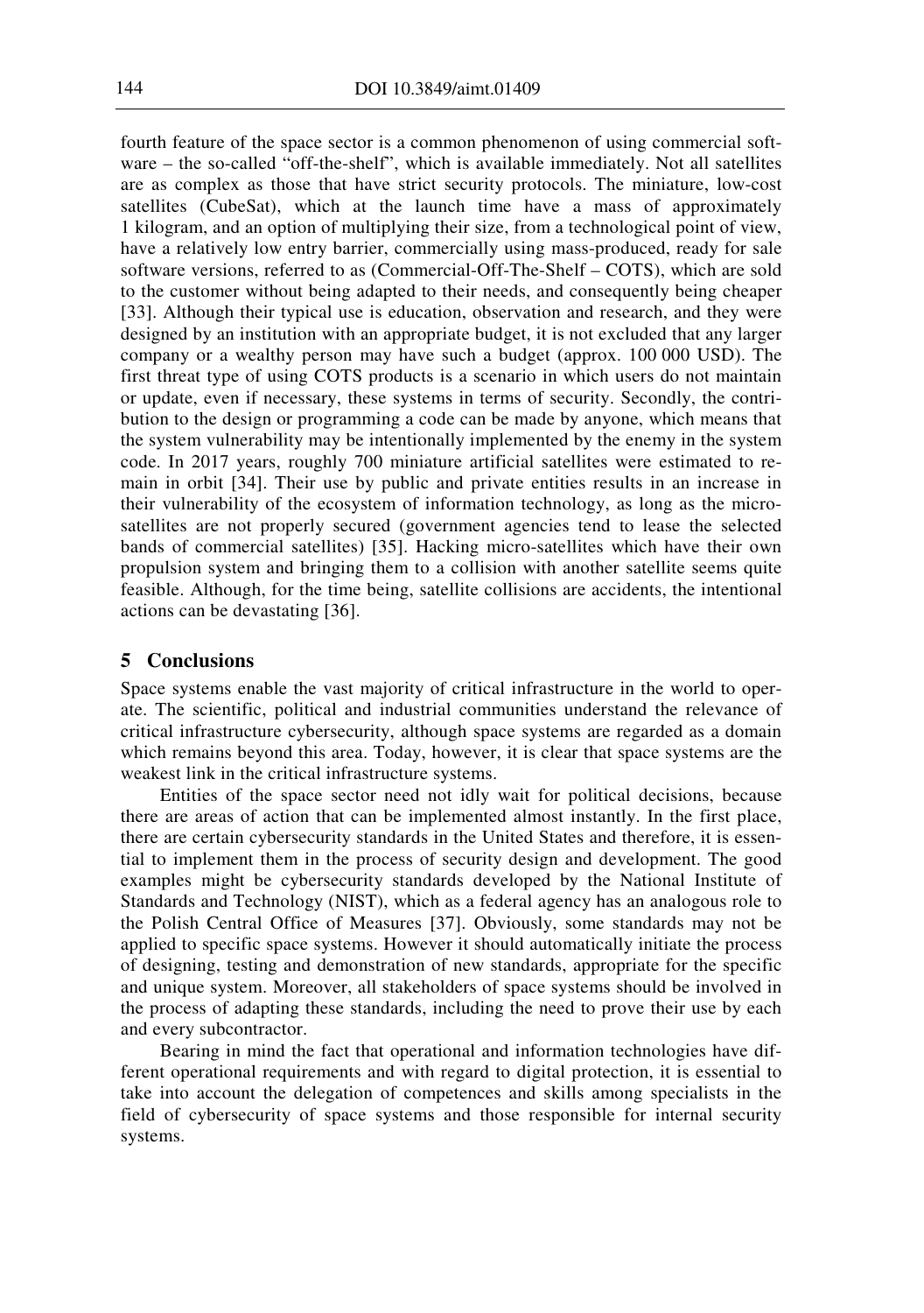fourth feature of the space sector is a common phenomenon of using commercial software – the so-called "off-the-shelf", which is available immediately. Not all satellites are as complex as those that have strict security protocols. The miniature, low-cost satellites (CubeSat), which at the launch time have a mass of approximately 1 kilogram, and an option of multiplying their size, from a technological point of view, have a relatively low entry barrier, commercially using mass-produced, ready for sale software versions, referred to as (Commercial-Off-The-Shelf – COTS), which are sold to the customer without being adapted to their needs, and consequently being cheaper [33]. Although their typical use is education, observation and research, and they were designed by an institution with an appropriate budget, it is not excluded that any larger company or a wealthy person may have such a budget (approx. 100 000 USD). The first threat type of using COTS products is a scenario in which users do not maintain or update, even if necessary, these systems in terms of security. Secondly, the contribution to the design or programming a code can be made by anyone, which means that the system vulnerability may be intentionally implemented by the enemy in the system code. In 2017 years, roughly 700 miniature artificial satellites were estimated to remain in orbit [34]. Their use by public and private entities results in an increase in their vulnerability of the ecosystem of information technology, as long as the microsatellites are not properly secured (government agencies tend to lease the selected bands of commercial satellites) [35]. Hacking micro-satellites which have their own propulsion system and bringing them to a collision with another satellite seems quite feasible. Although, for the time being, satellite collisions are accidents, the intentional actions can be devastating [36].

# **5 Conclusions**

Space systems enable the vast majority of critical infrastructure in the world to operate. The scientific, political and industrial communities understand the relevance of critical infrastructure cybersecurity, although space systems are regarded as a domain which remains beyond this area. Today, however, it is clear that space systems are the weakest link in the critical infrastructure systems.

Entities of the space sector need not idly wait for political decisions, because there are areas of action that can be implemented almost instantly. In the first place, there are certain cybersecurity standards in the United States and therefore, it is essential to implement them in the process of security design and development. The good examples might be cybersecurity standards developed by the National Institute of Standards and Technology (NIST), which as a federal agency has an analogous role to the Polish Central Office of Measures [37]. Obviously, some standards may not be applied to specific space systems. However it should automatically initiate the process of designing, testing and demonstration of new standards, appropriate for the specific and unique system. Moreover, all stakeholders of space systems should be involved in the process of adapting these standards, including the need to prove their use by each and every subcontractor.

Bearing in mind the fact that operational and information technologies have different operational requirements and with regard to digital protection, it is essential to take into account the delegation of competences and skills among specialists in the field of cybersecurity of space systems and those responsible for internal security systems.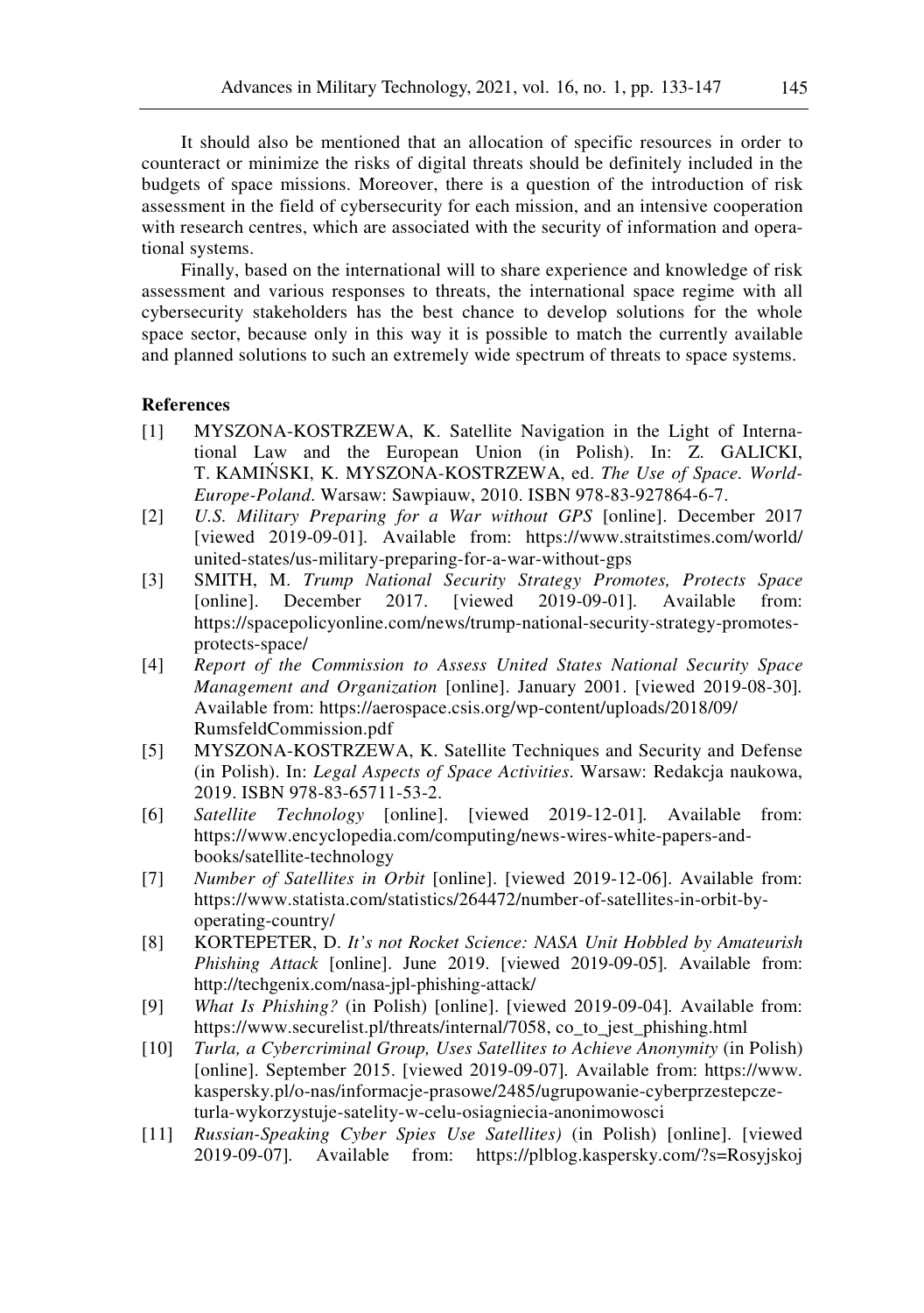It should also be mentioned that an allocation of specific resources in order to counteract or minimize the risks of digital threats should be definitely included in the budgets of space missions. Moreover, there is a question of the introduction of risk assessment in the field of cybersecurity for each mission, and an intensive cooperation with research centres, which are associated with the security of information and operational systems.

Finally, based on the international will to share experience and knowledge of risk assessment and various responses to threats, the international space regime with all cybersecurity stakeholders has the best chance to develop solutions for the whole space sector, because only in this way it is possible to match the currently available and planned solutions to such an extremely wide spectrum of threats to space systems.

### **References**

- [1] MYSZONA-KOSTRZEWA, K. Satellite Navigation in the Light of International Law and the European Union (in Polish). In: Z. GALICKI, T. KAMIŃSKI, K. MYSZONA-KOSTRZEWA, ed. *The Use of Space. World-Europe-Poland*. Warsaw: Sawpiauw, 2010. ISBN 978-83-927864-6-7.
- [2] *U.S. Military Preparing for a War without GPS* [online]. December 2017 [viewed 2019-09-01]*.* Available from: https://www.straitstimes.com/world/ united-states/us-military-preparing-for-a-war-without-gps
- [3] SMITH, M. *Trump National Security Strategy Promotes, Protects Space* [online]. December 2017. [viewed 2019-09-01]. Available from: https://spacepolicyonline.com/news/trump-national-security-strategy-promotesprotects-space/
- [4] *Report of the Commission to Assess United States National Security Space Management and Organization* [online]. January 2001. [viewed 2019-08-30]*.* Available from: https://aerospace.csis.org/wp-content/uploads/2018/09/ RumsfeldCommission.pdf
- [5] MYSZONA-KOSTRZEWA, K. Satellite Techniques and Security and Defense (in Polish). In: *Legal Aspects of Space Activities*. Warsaw: Redakcja naukowa, 2019. ISBN 978-83-65711-53-2.
- [6] *Satellite Technology* [online]. [viewed 2019-12-01]*.* Available from: https://www.encyclopedia.com/computing/news-wires-white-papers-andbooks/satellite-technology
- [7] *Number of Satellites in Orbit* [online]. [viewed 2019-12-06]. Available from: https://www.statista.com/statistics/264472/number-of-satellites-in-orbit-byoperating-country/
- [8] KORTEPETER, D. *It's not Rocket Science: NASA Unit Hobbled by Amateurish Phishing Attack* [online]. June 2019. [viewed 2019-09-05]*.* Available from: http://techgenix.com/nasa-jpl-phishing-attack/
- [9] *What Is Phishing?* (in Polish) [online]. [viewed 2019-09-04]*.* Available from: https://www.securelist.pl/threats/internal/7058, co\_to\_jest\_phishing.html
- [10] *Turla, a Cybercriminal Group, Uses Satellites to Achieve Anonymity* (in Polish) [online]. September 2015. [viewed 2019-09-07]*.* Available from: https://www. kaspersky.pl/o-nas/informacje-prasowe/2485/ugrupowanie-cyberprzestepczeturla-wykorzystuje-satelity-w-celu-osiagniecia-anonimowosci
- [11] *Russian-Speaking Cyber Spies Use Satellites)* (in Polish) [online]. [viewed 2019-09-07]*.* Available from: https://plblog.kaspersky.com/?s=Rosyjskoj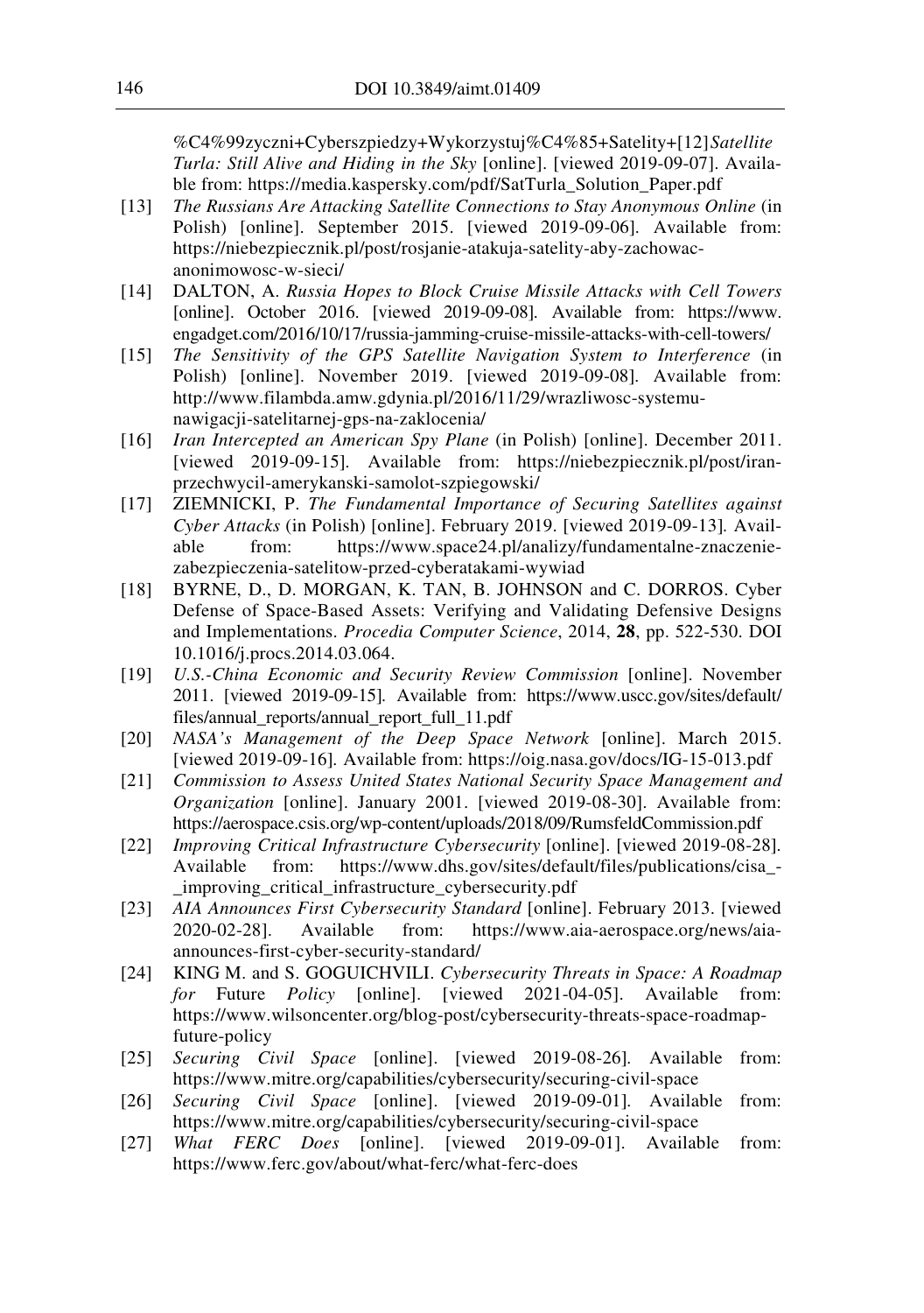%C4%99zyczni+Cyberszpiedzy+Wykorzystuj%C4%85+Satelity+[12] *Satellite Turla: Still Alive and Hiding in the Sky* [online]. [viewed 2019-09-07]. Available from: https://media.kaspersky.com/pdf/SatTurla\_Solution\_Paper.pdf

- [13] *The Russians Are Attacking Satellite Connections to Stay Anonymous Online* (in Polish) [online]. September 2015. [viewed 2019-09-06]*.* Available from: https://niebezpiecznik.pl/post/rosjanie-atakuja-satelity-aby-zachowacanonimowosc-w-sieci/
- [14] DALTON, A. *Russia Hopes to Block Cruise Missile Attacks with Cell Towers* [online]. October 2016. [viewed 2019-09-08]*.* Available from: https://www. engadget.com/2016/10/17/russia-jamming-cruise-missile-attacks-with-cell-towers/
- [15] *The Sensitivity of the GPS Satellite Navigation System to Interference* (in Polish) [online]. November 2019. [viewed 2019-09-08]*.* Available from: http://www.filambda.amw.gdynia.pl/2016/11/29/wrazliwosc-systemunawigacji-satelitarnej-gps-na-zaklocenia/
- [16] *Iran Intercepted an American Spy Plane* (in Polish) [online]. December 2011. [viewed 2019-09-15]*.* Available from: https://niebezpiecznik.pl/post/iranprzechwycil-amerykanski-samolot-szpiegowski/
- [17] ZIEMNICKI, P. *The Fundamental Importance of Securing Satellites against Cyber Attacks* (in Polish) [online]. February 2019. [viewed 2019-09-13]*.* Available from: https://www.space24.pl/analizy/fundamentalne-znaczeniezabezpieczenia-satelitow-przed-cyberatakami-wywiad
- [18] BYRNE, D., D. MORGAN, K. TAN, B. JOHNSON and C. DORROS. Cyber Defense of Space-Based Assets: Verifying and Validating Defensive Designs and Implementations. *Procedia Computer Science*, 2014, **28**, pp. 522-530. DOI 10.1016/j.procs.2014.03.064.
- [19] *U.S.-China Economic and Security Review Commission* [online]. November 2011. [viewed 2019-09-15]*.* Available from: https://www.uscc.gov/sites/default/ files/annual\_reports/annual\_report\_full\_11.pdf
- [20] *NASA's Management of the Deep Space Network* [online]. March 2015. [viewed 2019-09-16]*.* Available from: https://oig.nasa.gov/docs/IG-15-013.pdf
- [21] *Commission to Assess United States National Security Space Management and Organization* [online]. January 2001. [viewed 2019-08-30]. Available from: https://aerospace.csis.org/wp-content/uploads/2018/09/RumsfeldCommission.pdf
- [22] *Improving Critical Infrastructure Cybersecurity* [online]. [viewed 2019-08-28]*.* Available from: https://www.dhs.gov/sites/default/files/publications/cisa\_- \_improving\_critical\_infrastructure\_cybersecurity.pdf
- [23] *AIA Announces First Cybersecurity Standard* [online]. February 2013. [viewed 2020-02-28]. Available from: https://www.aia-aerospace.org/news/aiaannounces-first-cyber-security-standard/
- [24] KING M. and S. GOGUICHVILI. *Cybersecurity Threats in Space: A Roadmap for* Future *Policy* [online]. [viewed 2021-04-05]. Available from: https://www.wilsoncenter.org/blog-post/cybersecurity-threats-space-roadmapfuture-policy
- [25] *Securing Civil Space* [online]. [viewed 2019-08-26]*.* Available from: https://www.mitre.org/capabilities/cybersecurity/securing-civil-space
- [26] *Securing Civil Space* [online]. [viewed 2019-09-01]*.* Available from: https://www.mitre.org/capabilities/cybersecurity/securing-civil-space
- [27] *What FERC Does* [online]. [viewed 2019-09-01]. Available from: https://www.ferc.gov/about/what-ferc/what-ferc-does